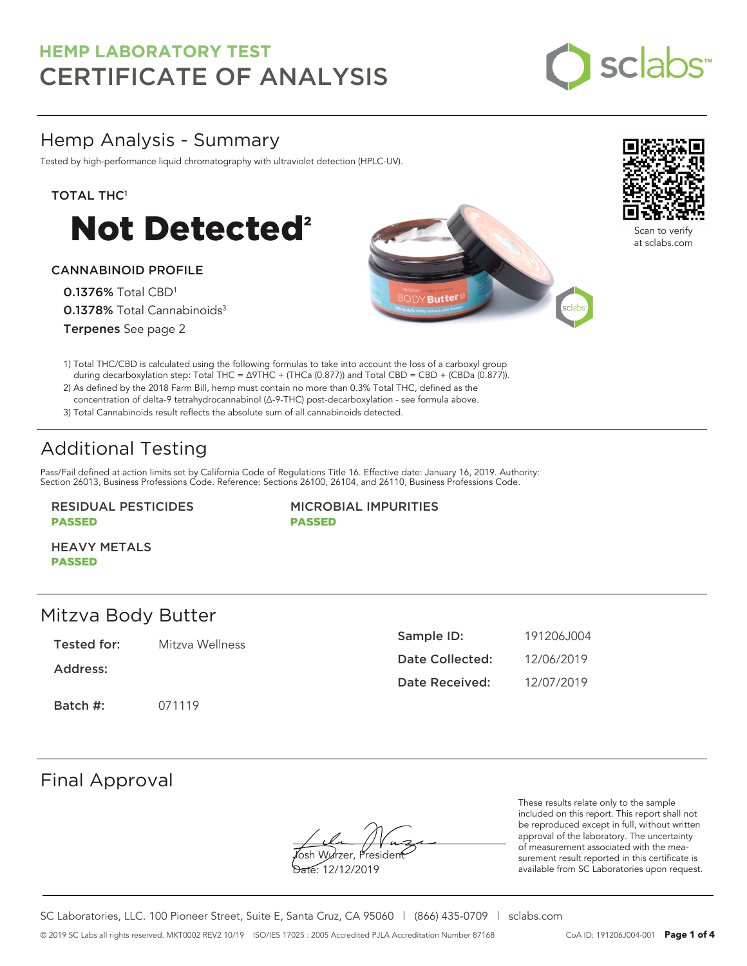

## Hemp Analysis - Summary

Tested by high-performance liquid chromatography with ultraviolet detection (HPLC-UV).

#### TOTAL THC<sup>1</sup>



#### CANNABINOID PROFILE

0.1376% Total CBD<sup>1</sup> 0.1378% Total Cannabinoids<sup>3</sup> Terpenes See page 2





Scan to verify at sclabs.com

- 1) Total THC/CBD is calculated using the following formulas to take into account the loss of a carboxyl group during decarboxylation step: Total THC = ∆9THC + (THCa (0.877)) and Total CBD = CBD + (CBDa (0.877)).
- 2) As defined by the 2018 Farm Bill, hemp must contain no more than 0.3% Total THC, defined as the concentration of delta-9 tetrahydrocannabinol (Δ-9-THC) post-decarboxylation - see formula above.
- 3) Total Cannabinoids result reflects the absolute sum of all cannabinoids detected.

# Additional Testing

Pass/Fail defined at action limits set by California Code of Regulations Title 16. Effective date: January 16, 2019. Authority: Section 26013, Business Professions Code. Reference: Sections 26100, 26104, and 26110, Business Professions Code.

### RESIDUAL PESTICIDES PASSED

MICROBIAL IMPURITIES PASSED

HEAVY METALS PASSED

### Mitzva Body Butter

| Tested for: |  | Mitzva Wellness |
|-------------|--|-----------------|
|             |  |                 |

Address:

Batch #: 071119

| Sample ID:      | 191206.1004 |
|-----------------|-------------|
| Date Collected: | 12/06/2019  |
| Date Received:  | 12/07/2019  |

### Final Approval

Yosh Wurzer, Presider

Date: 12/12/2019

These results relate only to the sample included on this report. This report shall not be reproduced except in full, without written approval of the laboratory. The uncertainty of measurement associated with the measurement result reported in this certificate is available from SC Laboratories upon request.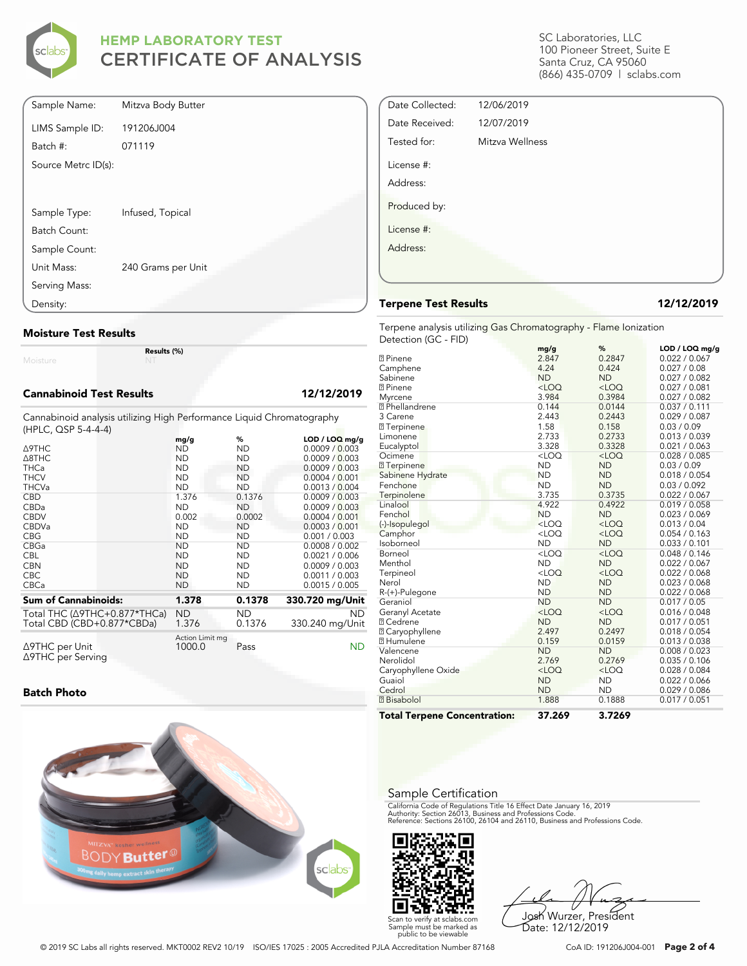

| Sample Name:        | Mitzva Body Butter |
|---------------------|--------------------|
| LIMS Sample ID:     | 191206J004         |
| Batch #:            | 071119             |
| Source Metrc ID(s): |                    |
|                     |                    |
| Sample Type:        | Infused, Topical   |
| Batch Count:        |                    |
| Sample Count:       |                    |
| Unit Mass:          | 240 Grams per Unit |
| Serving Mass:       |                    |
| Density:            |                    |

#### **Moisture Test Results**

Moisture

**Results (%)**

#### **Cannabinoid Test Results 12/12/2019**

Cannabinoid analysis utilizing High Performance Liquid Chromatography (HPLC, QSP 5-4-4-4)

|                                                | mg/g                      | %         | $LOD / LOQ$ mg/g |
|------------------------------------------------|---------------------------|-----------|------------------|
| $\triangle$ 9THC                               | ND                        | ND        | 0.0009 / 0.003   |
| $\triangle$ 8THC                               | <b>ND</b>                 | <b>ND</b> | 0.0009 / 0.003   |
| <b>THCa</b>                                    | <b>ND</b>                 | <b>ND</b> | 0.0009 / 0.003   |
| <b>THCV</b>                                    | <b>ND</b>                 | <b>ND</b> | 0.0004 / 0.001   |
| <b>THCVa</b>                                   | <b>ND</b>                 | ND        | 0.0013 / 0.004   |
| <b>CBD</b>                                     | 1.376                     | 0.1376    | 0.0009 / 0.003   |
| CBDa                                           | <b>ND</b>                 | <b>ND</b> | 0.0009 / 0.003   |
| <b>CBDV</b>                                    | 0.002                     | 0.0002    | 0.0004 / 0.001   |
| <b>CBDVa</b>                                   | <b>ND</b>                 | <b>ND</b> | 0.0003 / 0.001   |
| <b>CBG</b>                                     | <b>ND</b>                 | ND        | 0.001 / 0.003    |
| <b>CBGa</b>                                    | <b>ND</b>                 | <b>ND</b> | 0.0008 / 0.002   |
| <b>CBL</b>                                     | <b>ND</b>                 | <b>ND</b> | 0.0021 / 0.006   |
| <b>CBN</b>                                     | <b>ND</b>                 | <b>ND</b> | 0.0009 / 0.003   |
| <b>CBC</b>                                     | <b>ND</b>                 | <b>ND</b> | 0.0011 / 0.003   |
| <b>CBCa</b>                                    | <b>ND</b>                 | ND        | 0.0015 / 0.005   |
| <b>Sum of Cannabinoids:</b>                    | 1.378                     | 0.1378    | 330.720 mg/Unit  |
| Total THC (Δ9THC+0.877*THCa)                   | <b>ND</b>                 | ND        | <b>ND</b>        |
| Total CBD (CBD+0.877*CBDa)                     | 1.376                     | 0.1376    | 330.240 mg/Unit  |
| $\triangle$ 9THC per Unit<br>∆9THC per Serving | Action Limit mg<br>1000.0 | Pass      | ND               |

#### **Batch Photo**



SC Laboratories, LLC 100 Pioneer Street, Suite E Santa Cruz, CA 95060 (866) 435-0709 | sclabs.com

| Date Collected: | 12/06/2019      |  |
|-----------------|-----------------|--|
| Date Received:  | 12/07/2019      |  |
| Tested for:     | Mitzva Wellness |  |
| License #:      |                 |  |
| Address:        |                 |  |
| Produced by:    |                 |  |
| License #:      |                 |  |
| Address:        |                 |  |
|                 |                 |  |
|                 |                 |  |

#### **Terpene Test Results 12/12/2019**

Terpene analysis utilizing Gas Chromatography - Flame Ionization Detection (GC - FID)

|                                     | mg/g      | ℅         | LOD / LOQ mg/g |
|-------------------------------------|-----------|-----------|----------------|
| <b>2</b> Pinene                     | 2.847     | 0.2847    | 0.022 / 0.067  |
| Camphene                            | 4.24      | 0.424     | 0.027 / 0.08   |
| Sabinene                            | <b>ND</b> | <b>ND</b> | 0.027 / 0.082  |
| <b>7</b> Pinene                     | $<$ LOQ   | $<$ LOQ   | 0.027 / 0.081  |
| Myrcene                             | 3.984     | 0.3984    | 0.027 / 0.082  |
| <sup>2</sup> Phellandrene           | 0.144     | 0.0144    | 0.037 / 0.111  |
| 3 Carene                            | 2.443     | 0.2443    | 0.029 / 0.087  |
| <b>7</b> Terpinene                  | 1.58      | 0.158     | 0.03 / 0.09    |
| Limonene                            | 2.733     | 0.2733    | 0.013 / 0.039  |
| Eucalyptol                          | 3.328     | 0.3328    | 0.021 / 0.063  |
| Ocimene                             | $<$ LOQ   | $<$ LOQ   | 0.028 / 0.085  |
| <b>7</b> Terpinene                  | <b>ND</b> | <b>ND</b> | 0.03 / 0.09    |
| Sabinene Hydrate                    | <b>ND</b> | <b>ND</b> | 0.018 / 0.054  |
| Fenchone                            | <b>ND</b> | <b>ND</b> | 0.03 / 0.092   |
| Terpinolene                         | 3.735     | 0.3735    | 0.022 / 0.067  |
| Linalool                            | 4.922     | 0.4922    | 0.019 / 0.058  |
| Fenchol                             | <b>ND</b> | <b>ND</b> | 0.023 / 0.069  |
| (-)-Isopulegol                      | $<$ LOQ   | $<$ LOQ   | 0.013 / 0.04   |
| Camphor                             | $<$ LOQ   | $<$ LOQ   | 0.054 / 0.163  |
| Isoborneol                          | <b>ND</b> | <b>ND</b> | 0.033 / 0.101  |
| Borneol                             | $<$ LOQ   | $<$ LOQ   | 0.048 / 0.146  |
| Menthol                             | <b>ND</b> | <b>ND</b> | 0.022 / 0.067  |
| Terpineol                           | $<$ LOQ   | $<$ LOQ   | 0.022 / 0.068  |
| Nerol                               | <b>ND</b> | <b>ND</b> | 0.023 / 0.068  |
| R-(+)-Pulegone                      | <b>ND</b> | <b>ND</b> | 0.022 / 0.068  |
| Geraniol                            | <b>ND</b> | <b>ND</b> | 0.017 / 0.05   |
| Geranyl Acetate                     | $<$ LOQ   | $<$ LOQ   | 0.016 / 0.048  |
| <b>7 Cedrene</b>                    | <b>ND</b> | <b>ND</b> | 0.017 / 0.051  |
| 2 Caryophyllene                     | 2.497     | 0.2497    | 0.018 / 0.054  |
| <b>7 Humulene</b>                   | 0.159     | 0.0159    | 0.013 / 0.038  |
| Valencene                           | <b>ND</b> | <b>ND</b> | 0.008 / 0.023  |
| Nerolidol                           | 2.769     | 0.2769    | 0.035 / 0.106  |
| Caryophyllene Oxide                 | $<$ LOQ   | $<$ LOQ   | 0.028 / 0.084  |
| Guaiol                              | <b>ND</b> | <b>ND</b> | 0.022 / 0.066  |
| Cedrol                              | <b>ND</b> | <b>ND</b> | 0.029 / 0.086  |
| <b>7</b> Bisabolol                  | 1.888     | 0.1888    | 0.017 / 0.051  |
| <b>Total Terpene Concentration:</b> | 37.269    | 3.7269    |                |

#### Sample Certification

California Code of Regulations Title 16 Effect Date January 16, 2019<br>Authority: Section 26013, Business and Professions Code.<br>Reference: Sections 26100, 26104 and 26110, Business and Professions Code.



Josh Wurzer, President Date: 12/12/2019

© 2019 SC Labs all rights reserved. MKT0002 REV2 10/19 ISO/IES 17025 : 2005 Accredited PJLA Accreditation Number 87168 CoA ID: 191206J004-001 **Page 2 of 4**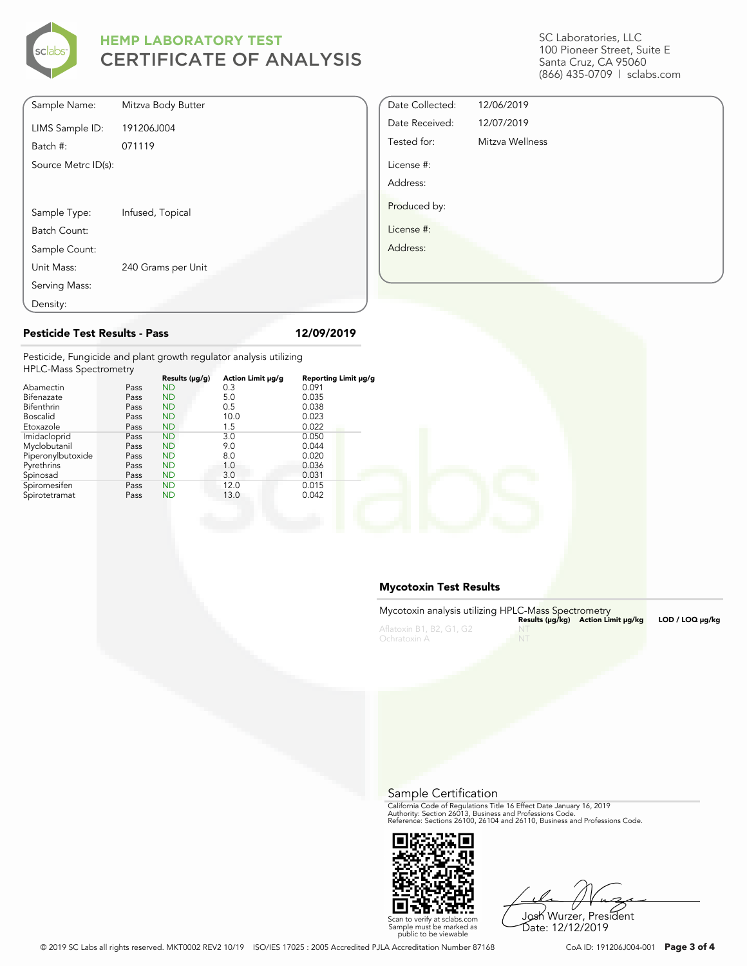

| Sample Name:        | Mitzva Body Butter |
|---------------------|--------------------|
| LIMS Sample ID:     | 191206J004         |
| Batch #:            | 071119             |
| Source Metrc ID(s): |                    |
|                     |                    |
| Sample Type:        | Infused, Topical   |
| Batch Count:        |                    |
| Sample Count:       |                    |
| Unit Mass:          | 240 Grams per Unit |
| Serving Mass:       |                    |
| Density:            |                    |

SC Laboratories, LLC 100 Pioneer Street, Suite E Santa Cruz, CA 95060 (866) 435-0709 | sclabs.com

| Date Collected: | 12/06/2019      |  |
|-----------------|-----------------|--|
| Date Received:  | 12/07/2019      |  |
| Tested for:     | Mitzva Wellness |  |
| License #:      |                 |  |
| Address:        |                 |  |
| Produced by:    |                 |  |
| License #:      |                 |  |
| Address:        |                 |  |
|                 |                 |  |
|                 |                 |  |

#### **Pesticide Test Results - Pass 12/09/2019**

Pesticide, Fungicide and plant growth regulator analysis utilizing HPLC-Mass Spectrometry

| <b>HELC-Mass Spectrometry</b> |      |                     |                   |                      |  |
|-------------------------------|------|---------------------|-------------------|----------------------|--|
|                               |      | Results $(\mu g/g)$ | Action Limit µg/g | Reporting Limit µg/g |  |
| Abamectin                     | Pass | <b>ND</b>           | 0.3               | 0.091                |  |
| Bifenazate                    | Pass | <b>ND</b>           | 5.0               | 0.035                |  |
| Bifenthrin                    | Pass | <b>ND</b>           | 0.5               | 0.038                |  |
| <b>Boscalid</b>               | Pass | <b>ND</b>           | 10.0              | 0.023                |  |
| Etoxazole                     | Pass | <b>ND</b>           | 1.5               | 0.022                |  |
| Imidacloprid                  | Pass | <b>ND</b>           | 3.0               | 0.050                |  |
| Myclobutanil                  | Pass | <b>ND</b>           | 9.0               | 0.044                |  |
| Piperonylbutoxide             | Pass | <b>ND</b>           | 8.0               | 0.020                |  |
| Pyrethrins                    | Pass | <b>ND</b>           | 1.0               | 0.036                |  |
| Spinosad                      | Pass | <b>ND</b>           | 3.0               | 0.031                |  |
| Spiromesifen                  | Pass | <b>ND</b>           | 12.0              | 0.015                |  |
| Spirotetramat                 | Pass | <b>ND</b>           | 13.0              | 0.042                |  |
|                               |      |                     |                   |                      |  |

#### **Mycotoxin Test Results**

| Mycotoxin analysis utilizing HPLC-Mass Spectrometry |         |                                    |                 |
|-----------------------------------------------------|---------|------------------------------------|-----------------|
| Aflatoxin B1, B2, G1, G2                            |         | Results (µq/kq) Action Limit µq/kq | LOD / LOQ µq/kq |
| Ochratoxin A                                        | $- N F$ |                                    |                 |

Sample Certification

California Code of Regulations Title 16 Effect Date January 16, 2019<br>Authority: Section 26013, Business and Professions Code.<br>Reference: Sections 26100, 26104 and 26110, Business and Professions Code.



Josh Wurzer, President

Date: 12/12/2019

Scan to verify at sclabs.com Sample must be marked as public to be viewable

© 2019 SC Labs all rights reserved. MKT0002 REV2 10/19 ISO/IES 17025 : 2005 Accredited PJLA Accreditation Number 87168 CoA ID: 191206J004-001 **Page 3 of 4**